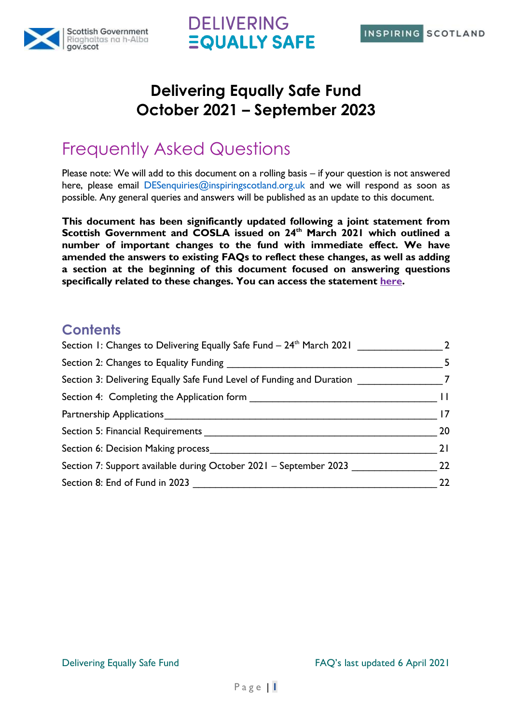



### **Delivering Equally Safe Fund October 2021 – September 2023**

# Frequently Asked Questions

Please note: We will add to this document on a rolling basis – if your question is not answered here, please email DESenquiries@inspiringscotland.org.uk and we will respond as soon as possible. Any general queries and answers will be published as an update to this document.

**This document has been significantly updated following a joint statement from Scottish Government and COSLA issued on 24th March 2021 which outlined a number of important changes to the fund with immediate effect. We have amended the answers to existing FAQs to reflect these changes, as well as adding a section at the beginning of this document focused on answering questions specifically related to these changes. You can access the statement [here.](https://www.inspiringscotland.org.uk/delivering-equally-safe-fund-important-update/)**

### **Contents**

| Section 1: Changes to Delivering Equally Safe Fund - 24 <sup>th</sup> March 2021 |    |
|----------------------------------------------------------------------------------|----|
| Section 2: Changes to Equality Funding                                           | 5  |
| Section 3: Delivering Equally Safe Fund Level of Funding and Duration            |    |
| Section 4: Completing the Application form                                       | П  |
|                                                                                  | 17 |
| Section 5: Financial Requirements                                                | 20 |
| Section 6: Decision Making process                                               | 21 |
| Section 7: Support available during October 2021 - September 2023                | 22 |
| Section 8: End of Fund in 2023                                                   | 22 |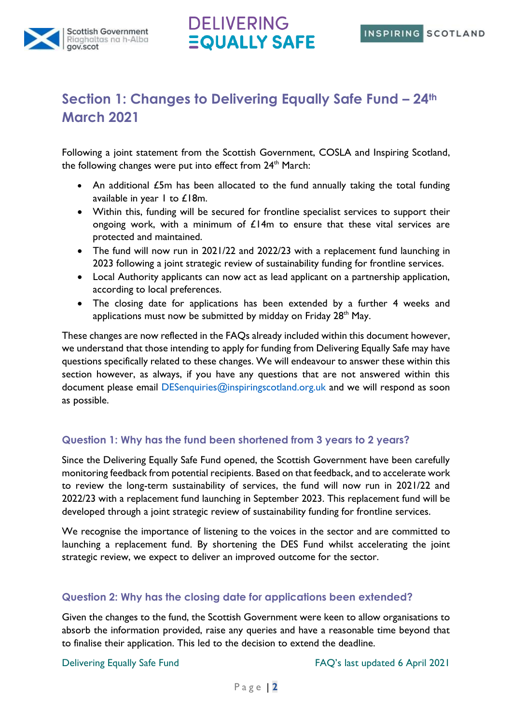



### <span id="page-1-0"></span>**Section 1: Changes to Delivering Equally Safe Fund – 24th March 2021**

Following a joint statement from the Scottish Government, COSLA and Inspiring Scotland, the following changes were put into effect from  $24<sup>th</sup>$  March:

- An additional £5m has been allocated to the fund annually taking the total funding available in year 1 to £18m.
- Within this, funding will be secured for frontline specialist services to support their ongoing work, with a minimum of  $\mathcal{L}14m$  to ensure that these vital services are protected and maintained.
- The fund will now run in 2021/22 and 2022/23 with a replacement fund launching in 2023 following a joint strategic review of sustainability funding for frontline services.
- Local Authority applicants can now act as lead applicant on a partnership application, according to local preferences.
- The closing date for applications has been extended by a further 4 weeks and applications must now be submitted by midday on Friday  $28<sup>th</sup>$  May.

These changes are now reflected in the FAQs already included within this document however, we understand that those intending to apply for funding from Delivering Equally Safe may have questions specifically related to these changes. We will endeavour to answer these within this section however, as always, if you have any questions that are not answered within this document please email DESenquiries@inspiringscotland.org.uk and we will respond as soon as possible.

#### **Question 1: Why has the fund been shortened from 3 years to 2 years?**

Since the Delivering Equally Safe Fund opened, the Scottish Government have been carefully monitoring feedback from potential recipients. Based on that feedback, and to accelerate work to review the long-term sustainability of services, the fund will now run in 2021/22 and 2022/23 with a replacement fund launching in September 2023. This replacement fund will be developed through a joint strategic review of sustainability funding for frontline services.

We recognise the importance of listening to the voices in the sector and are committed to launching a replacement fund. By shortening the DES Fund whilst accelerating the joint strategic review, we expect to deliver an improved outcome for the sector.

#### **Question 2: Why has the closing date for applications been extended?**

Given the changes to the fund, the Scottish Government were keen to allow organisations to absorb the information provided, raise any queries and have a reasonable time beyond that to finalise their application. This led to the decision to extend the deadline.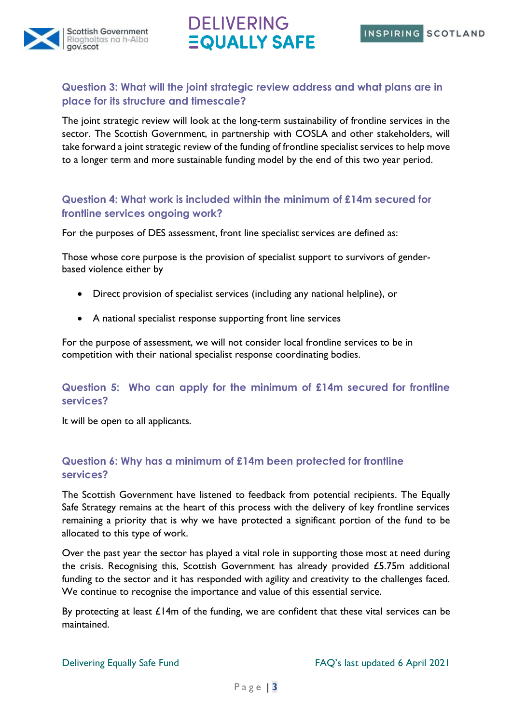



#### **Question 3: What will the joint strategic review address and what plans are in place for its structure and timescale?**

The joint strategic review will look at the long-term sustainability of frontline services in the sector. The Scottish Government, in partnership with COSLA and other stakeholders, will take forward a joint strategic review of the funding of frontline specialist services to help move to a longer term and more sustainable funding model by the end of this two year period.

#### **Question 4: What work is included within the minimum of £14m secured for frontline services ongoing work?**

For the purposes of DES assessment, front line specialist services are defined as:

Those whose core purpose is the provision of specialist support to survivors of genderbased violence either by

- Direct provision of specialist services (including any national helpline), or
- A national specialist response supporting front line services

For the purpose of assessment, we will not consider local frontline services to be in competition with their national specialist response coordinating bodies.

#### **Question 5: Who can apply for the minimum of £14m secured for frontline services?**

It will be open to all applicants.

#### **Question 6: Why has a minimum of £14m been protected for frontline services?**

The Scottish Government have listened to feedback from potential recipients. The Equally Safe Strategy remains at the heart of this process with the delivery of key frontline services remaining a priority that is why we have protected a significant portion of the fund to be allocated to this type of work.

Over the past year the sector has played a vital role in supporting those most at need during the crisis. Recognising this, Scottish Government has already provided £5.75m additional funding to the sector and it has responded with agility and creativity to the challenges faced. We continue to recognise the importance and value of this essential service.

By protecting at least  $£14m$  of the funding, we are confident that these vital services can be maintained.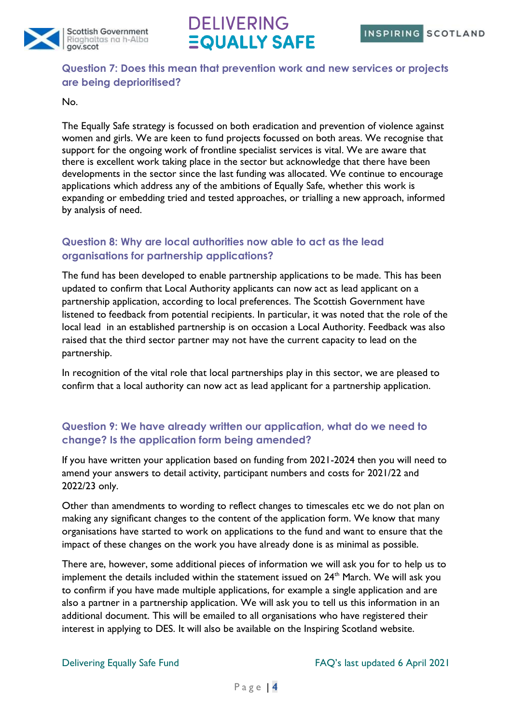



#### **Question 7: Does this mean that prevention work and new services or projects are being deprioritised?**

#### No.

The Equally Safe strategy is focussed on both eradication and prevention of violence against women and girls. We are keen to fund projects focussed on both areas. We recognise that support for the ongoing work of frontline specialist services is vital. We are aware that there is excellent work taking place in the sector but acknowledge that there have been developments in the sector since the last funding was allocated. We continue to encourage applications which address any of the ambitions of Equally Safe, whether this work is expanding or embedding tried and tested approaches, or trialling a new approach, informed by analysis of need.

#### **Question 8: Why are local authorities now able to act as the lead organisations for partnership applications?**

The fund has been developed to enable partnership applications to be made. This has been updated to confirm that Local Authority applicants can now act as lead applicant on a partnership application, according to local preferences. The Scottish Government have listened to feedback from potential recipients. In particular, it was noted that the role of the local lead in an established partnership is on occasion a Local Authority. Feedback was also raised that the third sector partner may not have the current capacity to lead on the partnership.

In recognition of the vital role that local partnerships play in this sector, we are pleased to confirm that a local authority can now act as lead applicant for a partnership application.

### **Question 9: We have already written our application, what do we need to change? Is the application form being amended?**

If you have written your application based on funding from 2021-2024 then you will need to amend your answers to detail activity, participant numbers and costs for 2021/22 and 2022/23 only.

Other than amendments to wording to reflect changes to timescales etc we do not plan on making any significant changes to the content of the application form. We know that many organisations have started to work on applications to the fund and want to ensure that the impact of these changes on the work you have already done is as minimal as possible.

There are, however, some additional pieces of information we will ask you for to help us to implement the details included within the statement issued on 24<sup>th</sup> March. We will ask you to confirm if you have made multiple applications, for example a single application and are also a partner in a partnership application. We will ask you to tell us this information in an additional document. This will be emailed to all organisations who have registered their interest in applying to DES. It will also be available on the Inspiring Scotland website.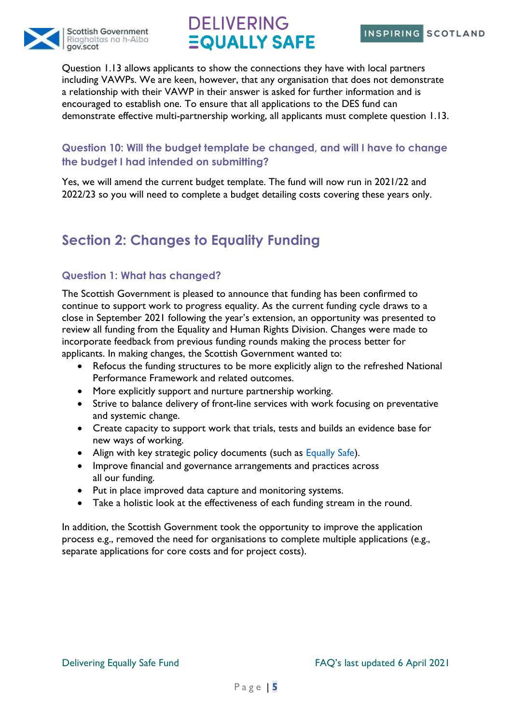



Question 1.13 allows applicants to show the connections they have with local partners including VAWPs. We are keen, however, that any organisation that does not demonstrate a relationship with their VAWP in their answer is asked for further information and is encouraged to establish one. To ensure that all applications to the DES fund can demonstrate effective multi-partnership working, all applicants must complete question 1.13.

#### **Question 10: Will the budget template be changed, and will I have to change the budget I had intended on submitting?**

Yes, we will amend the current budget template. The fund will now run in 2021/22 and 2022/23 so you will need to complete a budget detailing costs covering these years only.

### <span id="page-4-0"></span>**Section 2: Changes to Equality Funding**

#### **Question 1: What has changed?**

The Scottish Government is pleased to announce that funding has been confirmed to continue to support work to progress equality. As the current funding cycle draws to a close in September 2021 following the year's extension, an opportunity was presented to review all funding from the Equality and Human Rights Division. Changes were made to incorporate feedback from previous funding rounds making the process better for applicants. In making changes, the Scottish Government wanted to:

- Refocus the funding structures to be more explicitly align to the refreshed National Performance Framework and related outcomes.
- More explicitly support and nurture partnership working.
- Strive to balance delivery of front-line services with work focusing on preventative and systemic change.
- Create capacity to support work that trials, tests and builds an evidence base for new ways of working.
- Align with key strategic policy documents (such as Equally Safe).
- Improve financial and governance arrangements and practices across all our funding.
- Put in place improved data capture and monitoring systems.
- Take a holistic look at the effectiveness of each funding stream in the round.

In addition, the Scottish Government took the opportunity to improve the application process e.g., removed the need for organisations to complete multiple applications (e.g., separate applications for core costs and for project costs).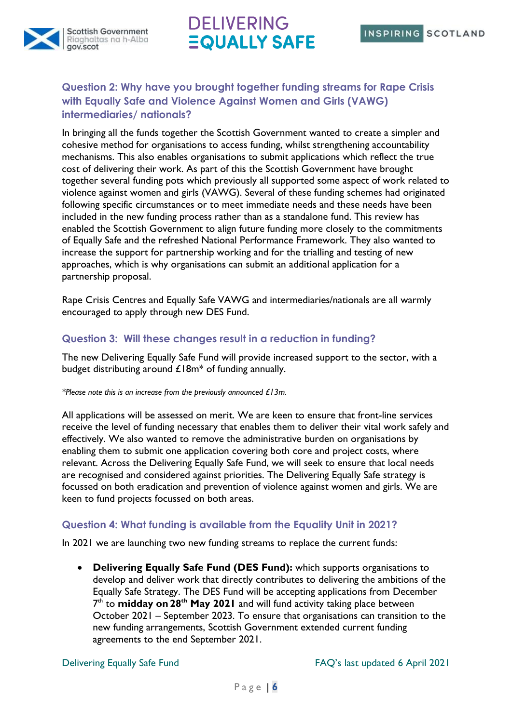

### **Question 2: Why have you brought together funding streams for Rape Crisis with Equally Safe and Violence Against Women and Girls (VAWG) intermediaries/ nationals?**

In bringing all the funds together the Scottish Government wanted to create a simpler and cohesive method for organisations to access funding, whilst strengthening accountability mechanisms. This also enables organisations to submit applications which reflect the true cost of delivering their work. As part of this the Scottish Government have brought together several funding pots which previously all supported some aspect of work related to violence against women and girls (VAWG). Several of these funding schemes had originated following specific circumstances or to meet immediate needs and these needs have been included in the new funding process rather than as a standalone fund. This review has enabled the Scottish Government to align future funding more closely to the commitments of Equally Safe and the refreshed National Performance Framework. They also wanted to increase the support for partnership working and for the trialling and testing of new approaches, which is why organisations can submit an additional application for a partnership proposal.

Rape Crisis Centres and Equally Safe VAWG and intermediaries/nationals are all warmly encouraged to apply through new DES Fund.

#### **Question 3: Will these changes result in a reduction in funding?**

The new Delivering Equally Safe Fund will provide increased support to the sector, with a budget distributing around  $\pounds18m^*$  of funding annually.

#### *\*Please note this is an increase from the previously announced £13m.*

All applications will be assessed on merit. We are keen to ensure that front-line services receive the level of funding necessary that enables them to deliver their vital work safely and effectively. We also wanted to remove the administrative burden on organisations by enabling them to submit one application covering both core and project costs, where relevant. Across the Delivering Equally Safe Fund, we will seek to ensure that local needs are recognised and considered against priorities. The Delivering Equally Safe strategy is focussed on both eradication and prevention of violence against women and girls. We are keen to fund projects focussed on both areas.

#### **Question 4: What funding is available from the Equality Unit in 2021?**

In 2021 we are launching two new funding streams to replace the current funds:

• **Delivering Equally Safe Fund (DES Fund):** which supports organisations to develop and deliver work that directly contributes to delivering the ambitions of the Equally Safe Strategy. The DES Fund will be accepting applications from December 7 th to **midday on 28th May 2021** and will fund activity taking place between October 2021 – September 2023. To ensure that organisations can transition to the new funding arrangements, Scottish Government extended current funding agreements to the end September 2021.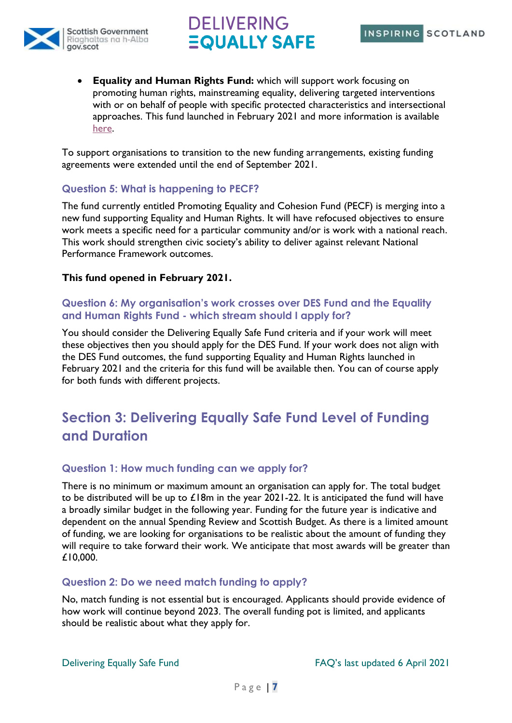



• **Equality and Human Rights Fund:** which will support work focusing on promoting human rights, mainstreaming equality, delivering targeted interventions with or on behalf of people with specific protected characteristics and intersectional approaches. This fund launched in February 2021 and more information is available [here.](https://www.inspiringscotland.org.uk/what-we-do/our-funds/equality-and-human-rights/)

To support organisations to transition to the new funding arrangements, existing funding agreements were extended until the end of September 2021.

#### **Question 5: What is happening to PECF?**

The fund currently entitled Promoting Equality and Cohesion Fund (PECF) is merging into a new fund supporting Equality and Human Rights. It will have refocused objectives to ensure work meets a specific need for a particular community and/or is work with a national reach. This work should strengthen civic society's ability to deliver against relevant National Performance Framework outcomes.

#### **This fund opened in February 2021.**

#### **Question 6: My organisation's work crosses over DES Fund and the Equality and Human Rights Fund - which stream should I apply for?**

You should consider the Delivering Equally Safe Fund criteria and if your work will meet these objectives then you should apply for the DES Fund. If your work does not align with the DES Fund outcomes, the fund supporting Equality and Human Rights launched in February 2021 and the criteria for this fund will be available then. You can of course apply for both funds with different projects.

### <span id="page-6-0"></span>**Section 3: Delivering Equally Safe Fund Level of Funding and Duration**

#### **Question 1: How much funding can we apply for?**

There is no minimum or maximum amount an organisation can apply for. The total budget to be distributed will be up to  $£18m$  in the year 2021-22. It is anticipated the fund will have a broadly similar budget in the following year. Funding for the future year is indicative and dependent on the annual Spending Review and Scottish Budget. As there is a limited amount of funding, we are looking for organisations to be realistic about the amount of funding they will require to take forward their work. We anticipate that most awards will be greater than £10,000.

#### **Question 2: Do we need match funding to apply?**

No, match funding is not essential but is encouraged. Applicants should provide evidence of how work will continue beyond 2023. The overall funding pot is limited, and applicants should be realistic about what they apply for.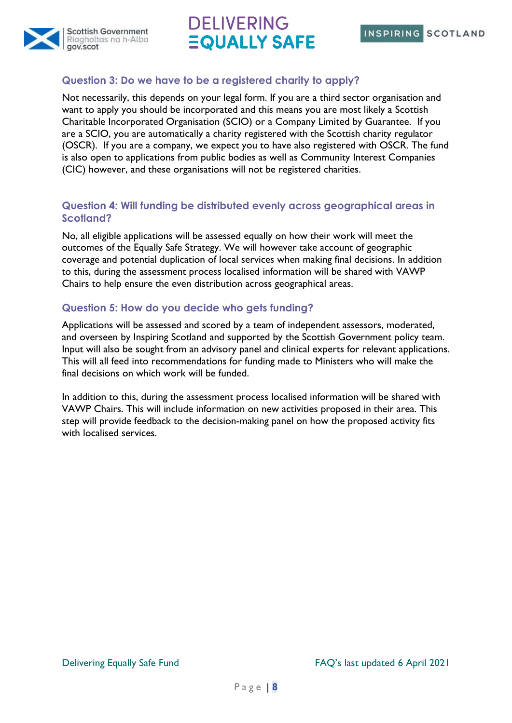



#### **Question 3: Do we have to be a registered charity to apply?**

Not necessarily, this depends on your legal form. If you are a third sector organisation and want to apply you should be incorporated and this means you are most likely a Scottish Charitable Incorporated Organisation (SCIO) or a Company Limited by Guarantee. If you are a SCIO, you are automatically a charity registered with the Scottish charity regulator (OSCR). If you are a company, we expect you to have also registered with OSCR. The fund is also open to applications from public bodies as well as Community Interest Companies (CIC) however, and these organisations will not be registered charities.

#### **Question 4: Will funding be distributed evenly across geographical areas in Scotland?**

No, all eligible applications will be assessed equally on how their work will meet the outcomes of the Equally Safe Strategy. We will however take account of geographic coverage and potential duplication of local services when making final decisions. In addition to this, during the assessment process localised information will be shared with VAWP Chairs to help ensure the even distribution across geographical areas.

#### **Question 5: How do you decide who gets funding?**

Applications will be assessed and scored by a team of independent assessors, moderated, and overseen by Inspiring Scotland and supported by the Scottish Government policy team. Input will also be sought from an advisory panel and clinical experts for relevant applications. This will all feed into recommendations for funding made to Ministers who will make the final decisions on which work will be funded.

In addition to this, during the assessment process localised information will be shared with VAWP Chairs. This will include information on new activities proposed in their area. This step will provide feedback to the decision-making panel on how the proposed activity fits with localised services.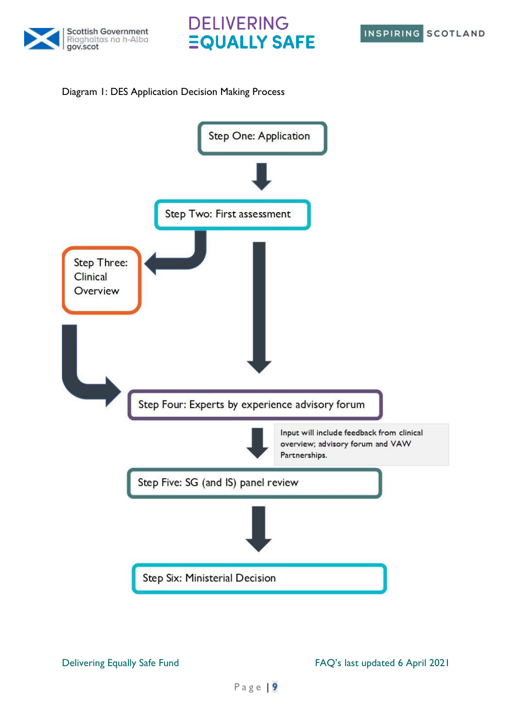





#### Diagram 1: DES Application Decision Making Process

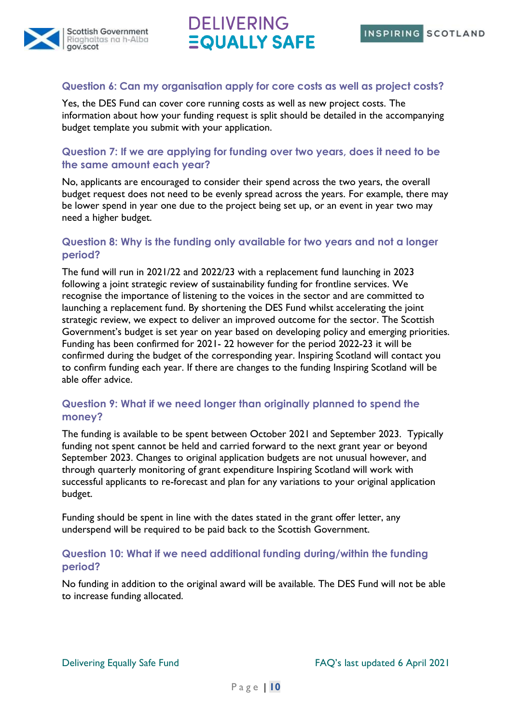



#### **Question 6: Can my organisation apply for core costs as well as project costs?**

Yes, the DES Fund can cover core running costs as well as new project costs. The information about how your funding request is split should be detailed in the accompanying budget template you submit with your application.

#### **Question 7: If we are applying for funding over two years, does it need to be the same amount each year?**

No, applicants are encouraged to consider their spend across the two years, the overall budget request does not need to be evenly spread across the years. For example, there may be lower spend in year one due to the project being set up, or an event in year two may need a higher budget.

#### **Question 8: Why is the funding only available for two years and not a longer period?**

The fund will run in 2021/22 and 2022/23 with a replacement fund launching in 2023 following a joint strategic review of sustainability funding for frontline services. We recognise the importance of listening to the voices in the sector and are committed to launching a replacement fund. By shortening the DES Fund whilst accelerating the joint strategic review, we expect to deliver an improved outcome for the sector. The Scottish Government's budget is set year on year based on developing policy and emerging priorities. Funding has been confirmed for 2021- 22 however for the period 2022-23 it will be confirmed during the budget of the corresponding year. Inspiring Scotland will contact you to confirm funding each year. If there are changes to the funding Inspiring Scotland will be able offer advice.

#### **Question 9: What if we need longer than originally planned to spend the money?**

The funding is available to be spent between October 2021 and September 2023. Typically funding not spent cannot be held and carried forward to the next grant year or beyond September 2023. Changes to original application budgets are not unusual however, and through quarterly monitoring of grant expenditure Inspiring Scotland will work with successful applicants to re-forecast and plan for any variations to your original application budget.

Funding should be spent in line with the dates stated in the grant offer letter, any underspend will be required to be paid back to the Scottish Government.

#### **Question 10: What if we need additional funding during/within the funding period?**

No funding in addition to the original award will be available. The DES Fund will not be able to increase funding allocated.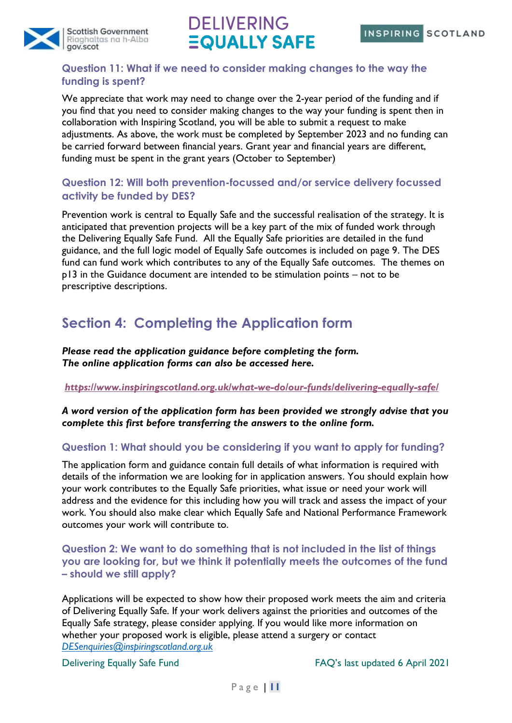

#### **Question 11: What if we need to consider making changes to the way the funding is spent?**

We appreciate that work may need to change over the 2-year period of the funding and if you find that you need to consider making changes to the way your funding is spent then in collaboration with Inspiring Scotland, you will be able to submit a request to make adjustments. As above, the work must be completed by September 2023 and no funding can be carried forward between financial years. Grant year and financial years are different, funding must be spent in the grant years (October to September)

### **Question 12: Will both prevention-focussed and/or service delivery focussed activity be funded by DES?**

Prevention work is central to Equally Safe and the successful realisation of the strategy. It is anticipated that prevention projects will be a key part of the mix of funded work through the Delivering Equally Safe Fund. All the Equally Safe priorities are detailed in the fund guidance, and the full logic model of Equally Safe outcomes is included on page 9. The DES fund can fund work which contributes to any of the Equally Safe outcomes. The themes on p13 in the Guidance document are intended to be stimulation points – not to be prescriptive descriptions.

### <span id="page-10-0"></span>**Section 4: Completing the Application form**

*Please read the application guidance before completing the form. The online application forms can also be accessed here.*

#### *<https://www.inspiringscotland.org.uk/what-we-do/our-funds/delivering-equally-safe/>*

*A word version of the application form has been provided we strongly advise that you complete this first before transferring the answers to the online form.*

#### **Question 1: What should you be considering if you want to apply for funding?**

The application form and guidance contain full details of what information is required with details of the information we are looking for in application answers. You should explain how your work contributes to the Equally Safe priorities, what issue or need your work will address and the evidence for this including how you will track and assess the impact of your work. You should also make clear which Equally Safe and National Performance Framework outcomes your work will contribute to.

**Question 2: We want to do something that is not included in the list of things you are looking for, but we think it potentially meets the outcomes of the fund – should we still apply?**

Applications will be expected to show how their proposed work meets the aim and criteria of Delivering Equally Safe. If your work delivers against the priorities and outcomes of the Equally Safe strategy, please consider applying. If you would like more information on whether your proposed work is eligible, please attend a surgery or contact *[DESenquiries@inspiringscotland.org.uk](mailto:DESenquiries@inspiringscotland.org.uk)*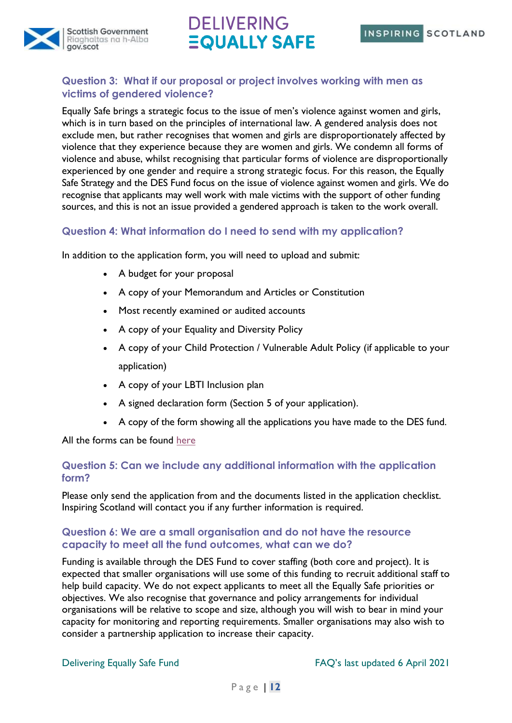



#### **Question 3: What if our proposal or project involves working with men as victims of gendered violence?**

Equally Safe brings a strategic focus to the issue of men's violence against women and girls, which is in turn based on the principles of international law. A gendered analysis does not exclude men, but rather recognises that women and girls are disproportionately affected by violence that they experience because they are women and girls. We condemn all forms of violence and abuse, whilst recognising that particular forms of violence are disproportionally experienced by one gender and require a strong strategic focus. For this reason, the Equally Safe Strategy and the DES Fund focus on the issue of violence against women and girls. We do recognise that applicants may well work with male victims with the support of other funding sources, and this is not an issue provided a gendered approach is taken to the work overall.

#### **Question 4: What information do I need to send with my application?**

In addition to the application form, you will need to upload and submit:

- A budget for your proposal
- A copy of your Memorandum and Articles or Constitution
- Most recently examined or audited accounts
- A copy of your Equality and Diversity Policy
- A copy of your Child Protection / Vulnerable Adult Policy (if applicable to your application)
- A copy of your LBTI Inclusion plan
- A signed declaration form (Section 5 of your application).
- A copy of the form showing all the applications you have made to the DES fund.

All the forms can be found [here](https://www.inspiringscotland.org.uk/what-we-do/our-funds/delivering-equally-safe/applying-to-delivering-equally-safe/)

#### **Question 5: Can we include any additional information with the application form?**

Please only send the application from and the documents listed in the application checklist. Inspiring Scotland will contact you if any further information is required.

#### **Question 6: We are a small organisation and do not have the resource capacity to meet all the fund outcomes, what can we do?**

Funding is available through the DES Fund to cover staffing (both core and project). It is expected that smaller organisations will use some of this funding to recruit additional staff to help build capacity. We do not expect applicants to meet all the Equally Safe priorities or objectives. We also recognise that governance and policy arrangements for individual organisations will be relative to scope and size, although you will wish to bear in mind your capacity for monitoring and reporting requirements. Smaller organisations may also wish to consider a partnership application to increase their capacity.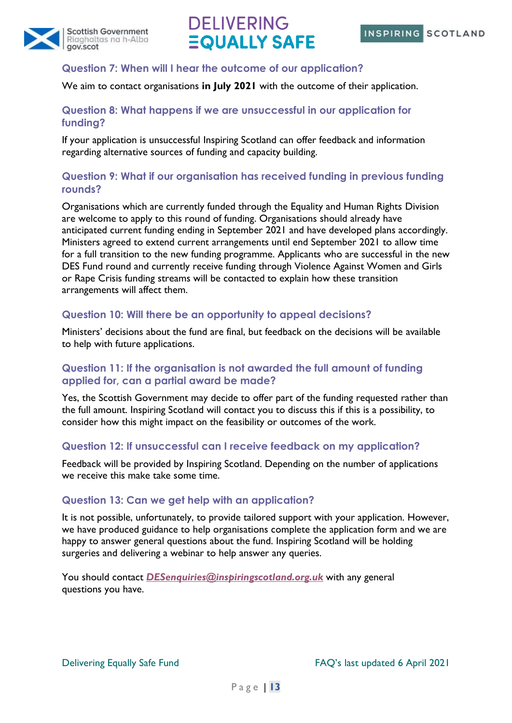



#### **Question 7: When will I hear the outcome of our application?**

We aim to contact organisations **in July 2021** with the outcome of their application.

#### **Question 8: What happens if we are unsuccessful in our application for funding?**

If your application is unsuccessful Inspiring Scotland can offer feedback and information regarding alternative sources of funding and capacity building.

#### **Question 9: What if our organisation has received funding in previous funding rounds?**

Organisations which are currently funded through the Equality and Human Rights Division are welcome to apply to this round of funding. Organisations should already have anticipated current funding ending in September 2021 and have developed plans accordingly. Ministers agreed to extend current arrangements until end September 2021 to allow time for a full transition to the new funding programme. Applicants who are successful in the new DES Fund round and currently receive funding through Violence Against Women and Girls or Rape Crisis funding streams will be contacted to explain how these transition arrangements will affect them.

#### **Question 10: Will there be an opportunity to appeal decisions?**

Ministers' decisions about the fund are final, but feedback on the decisions will be available to help with future applications.

#### **Question 11: If the organisation is not awarded the full amount of funding applied for, can a partial award be made?**

Yes, the Scottish Government may decide to offer part of the funding requested rather than the full amount. Inspiring Scotland will contact you to discuss this if this is a possibility, to consider how this might impact on the feasibility or outcomes of the work.

#### **Question 12: If unsuccessful can I receive feedback on my application?**

Feedback will be provided by Inspiring Scotland. Depending on the number of applications we receive this make take some time.

#### **Question 13: Can we get help with an application?**

It is not possible, unfortunately, to provide tailored support with your application. However, we have produced guidance to help organisations complete the application form and we are happy to answer general questions about the fund. Inspiring Scotland will be holding surgeries and delivering a webinar to help answer any queries.

You should contact *[DESenquiries@inspiringscotland.org.uk](mailto:DESenquiries@inspiringscotland.org.uk)* with any general questions you have.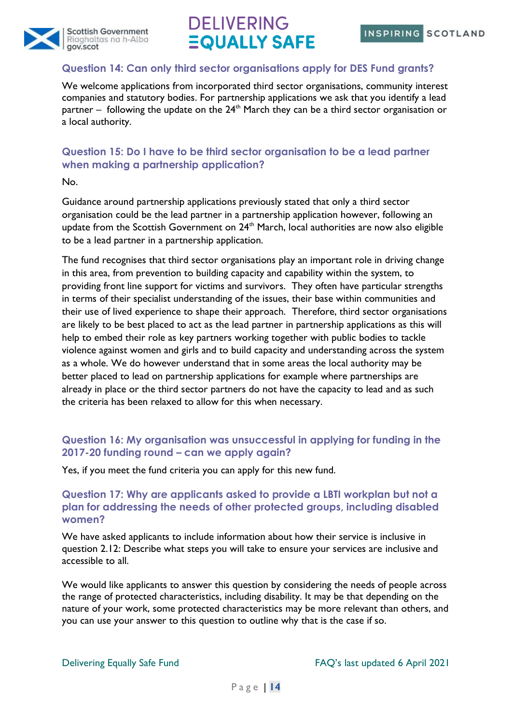

#### **Question 14: Can only third sector organisations apply for DES Fund grants?**

We welcome applications from incorporated third sector organisations, community interest companies and statutory bodies. For partnership applications we ask that you identify a lead partner – following the update on the  $24<sup>th</sup>$  March they can be a third sector organisation or a local authority.

#### **Question 15: Do I have to be third sector organisation to be a lead partner when making a partnership application?**

No.

Guidance around partnership applications previously stated that only a third sector organisation could be the lead partner in a partnership application however, following an update from the Scottish Government on  $24<sup>th</sup>$  March, local authorities are now also eligible to be a lead partner in a partnership application.

The fund recognises that third sector organisations play an important role in driving change in this area, from prevention to building capacity and capability within the system, to providing front line support for victims and survivors. They often have particular strengths in terms of their specialist understanding of the issues, their base within communities and their use of lived experience to shape their approach. Therefore, third sector organisations are likely to be best placed to act as the lead partner in partnership applications as this will help to embed their role as key partners working together with public bodies to tackle violence against women and girls and to build capacity and understanding across the system as a whole. We do however understand that in some areas the local authority may be better placed to lead on partnership applications for example where partnerships are already in place or the third sector partners do not have the capacity to lead and as such the criteria has been relaxed to allow for this when necessary.

#### **Question 16: My organisation was unsuccessful in applying for funding in the 2017-20 funding round – can we apply again?**

Yes, if you meet the fund criteria you can apply for this new fund.

#### **Question 17: Why are applicants asked to provide a LBTI workplan but not a plan for addressing the needs of other protected groups, including disabled women?**

We have asked applicants to include information about how their service is inclusive in question 2.12: Describe what steps you will take to ensure your services are inclusive and accessible to all.

We would like applicants to answer this question by considering the needs of people across the range of protected characteristics, including disability. It may be that depending on the nature of your work, some protected characteristics may be more relevant than others, and you can use your answer to this question to outline why that is the case if so.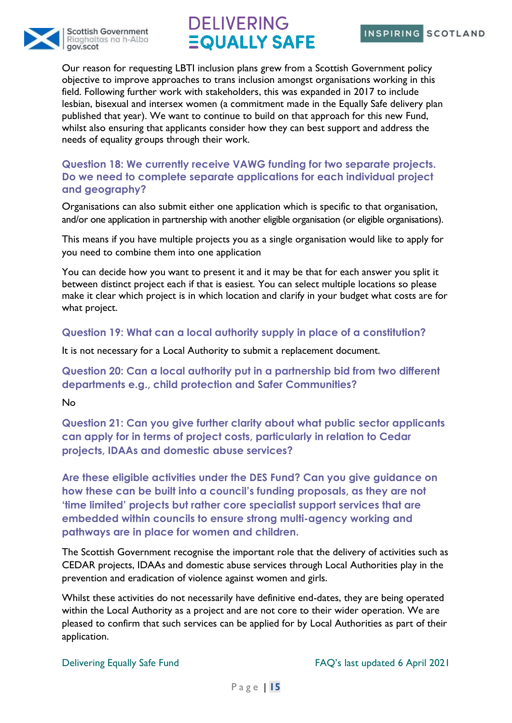



Our reason for requesting LBTI inclusion plans grew from a Scottish Government policy objective to improve approaches to trans inclusion amongst organisations working in this field. Following further work with stakeholders, this was expanded in 2017 to include lesbian, bisexual and intersex women (a commitment made in the Equally Safe delivery plan published that year). We want to continue to build on that approach for this new Fund, whilst also ensuring that applicants consider how they can best support and address the needs of equality groups through their work.

#### **Question 18: We currently receive VAWG funding for two separate projects. Do we need to complete separate applications for each individual project and geography?**

Organisations can also submit either one application which is specific to that organisation, and/or one application in partnership with another eligible organisation (or eligible organisations).

This means if you have multiple projects you as a single organisation would like to apply for you need to combine them into one application

You can decide how you want to present it and it may be that for each answer you split it between distinct project each if that is easiest. You can select multiple locations so please make it clear which project is in which location and clarify in your budget what costs are for what project.

#### **Question 19: What can a local authority supply in place of a constitution?**

It is not necessary for a Local Authority to submit a replacement document.

**Question 20: Can a local authority put in a partnership bid from two different departments e.g., child protection and Safer Communities?**

No

**Question 21: Can you give further clarity about what public sector applicants can apply for in terms of project costs, particularly in relation to Cedar projects, IDAAs and domestic abuse services?**

**Are these eligible activities under the DES Fund? Can you give guidance on how these can be built into a council's funding proposals, as they are not 'time limited' projects but rather core specialist support services that are embedded within councils to ensure strong multi-agency working and pathways are in place for women and children.** 

The Scottish Government recognise the important role that the delivery of activities such as CEDAR projects, IDAAs and domestic abuse services through Local Authorities play in the prevention and eradication of violence against women and girls.

Whilst these activities do not necessarily have definitive end-dates, they are being operated within the Local Authority as a project and are not core to their wider operation. We are pleased to confirm that such services can be applied for by Local Authorities as part of their application.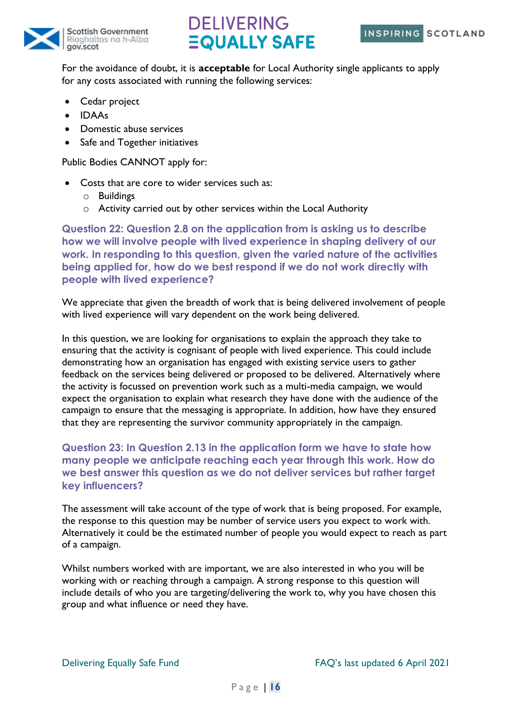



For the avoidance of doubt, it is **acceptable** for Local Authority single applicants to apply for any costs associated with running the following services:

- Cedar project
- IDAAs
- Domestic abuse services
- Safe and Together initiatives

Public Bodies CANNOT apply for:

- Costs that are core to wider services such as:
	- o Buildings
	- o Activity carried out by other services within the Local Authority

**Question 22: Question 2.8 on the application from is asking us to describe how we will involve people with lived experience in shaping delivery of our work. In responding to this question, given the varied nature of the activities being applied for, how do we best respond if we do not work directly with people with lived experience?**

We appreciate that given the breadth of work that is being delivered involvement of people with lived experience will vary dependent on the work being delivered.

In this question, we are looking for organisations to explain the approach they take to ensuring that the activity is cognisant of people with lived experience. This could include demonstrating how an organisation has engaged with existing service users to gather feedback on the services being delivered or proposed to be delivered. Alternatively where the activity is focussed on prevention work such as a multi-media campaign, we would expect the organisation to explain what research they have done with the audience of the campaign to ensure that the messaging is appropriate. In addition, how have they ensured that they are representing the survivor community appropriately in the campaign.

#### **Question 23: In Question 2.13 in the application form we have to state how many people we anticipate reaching each year through this work. How do we best answer this question as we do not deliver services but rather target key influencers?**

The assessment will take account of the type of work that is being proposed. For example, the response to this question may be number of service users you expect to work with. Alternatively it could be the estimated number of people you would expect to reach as part of a campaign.

Whilst numbers worked with are important, we are also interested in who you will be working with or reaching through a campaign. A strong response to this question will include details of who you are targeting/delivering the work to, why you have chosen this group and what influence or need they have.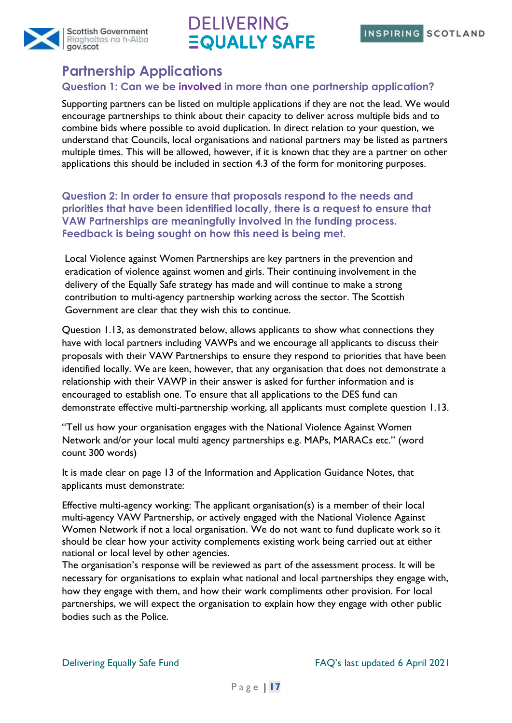



### <span id="page-16-0"></span>**Partnership Applications**

### **Question 1: Can we be involved in more than one partnership application?**

Supporting partners can be listed on multiple applications if they are not the lead. We would encourage partnerships to think about their capacity to deliver across multiple bids and to combine bids where possible to avoid duplication. In direct relation to your question, we understand that Councils, local organisations and national partners may be listed as partners multiple times. This will be allowed, however, if it is known that they are a partner on other applications this should be included in section 4.3 of the form for monitoring purposes.

**Question 2: In order to ensure that proposals respond to the needs and priorities that have been identified locally, there is a request to ensure that VAW Partnerships are meaningfully involved in the funding process. Feedback is being sought on how this need is being met.** 

Local Violence against Women Partnerships are key partners in the prevention and eradication of violence against women and girls. Their continuing involvement in the delivery of the Equally Safe strategy has made and will continue to make a strong contribution to multi-agency partnership working across the sector. The Scottish Government are clear that they wish this to continue.

Question 1.13, as demonstrated below, allows applicants to show what connections they have with local partners including VAWPs and we encourage all applicants to discuss their proposals with their VAW Partnerships to ensure they respond to priorities that have been identified locally. We are keen, however, that any organisation that does not demonstrate a relationship with their VAWP in their answer is asked for further information and is encouraged to establish one. To ensure that all applications to the DES fund can demonstrate effective multi-partnership working, all applicants must complete question 1.13.

"Tell us how your organisation engages with the National Violence Against Women Network and/or your local multi agency partnerships e.g. MAPs, MARACs etc." (word count 300 words)

It is made clear on page 13 of the Information and Application Guidance Notes, that applicants must demonstrate:

Effective multi-agency working: The applicant organisation(s) is a member of their local multi-agency VAW Partnership, or actively engaged with the National Violence Against Women Network if not a local organisation. We do not want to fund duplicate work so it should be clear how your activity complements existing work being carried out at either national or local level by other agencies.

The organisation's response will be reviewed as part of the assessment process. It will be necessary for organisations to explain what national and local partnerships they engage with, how they engage with them, and how their work compliments other provision. For local partnerships, we will expect the organisation to explain how they engage with other public bodies such as the Police.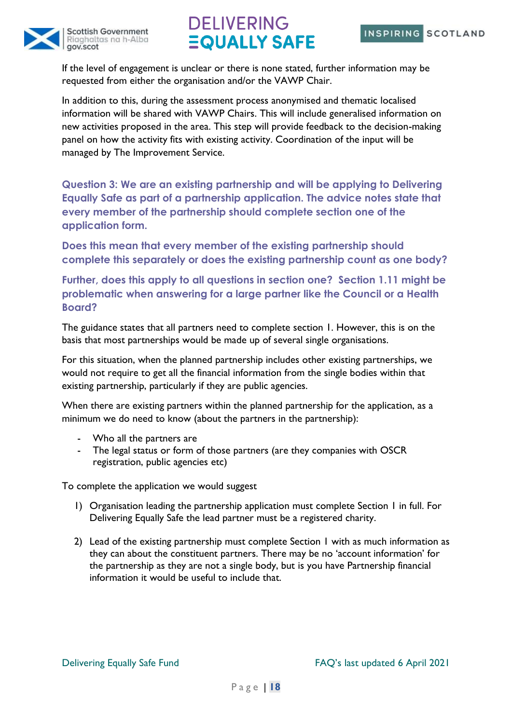



If the level of engagement is unclear or there is none stated, further information may be requested from either the organisation and/or the VAWP Chair.

In addition to this, during the assessment process anonymised and thematic localised information will be shared with VAWP Chairs. This will include generalised information on new activities proposed in the area. This step will provide feedback to the decision-making panel on how the activity fits with existing activity. Coordination of the input will be managed by The Improvement Service.

**Question 3: We are an existing partnership and will be applying to Delivering Equally Safe as part of a partnership application. The advice notes state that every member of the partnership should complete section one of the application form.** 

**Does this mean that every member of the existing partnership should complete this separately or does the existing partnership count as one body?**

**Further, does this apply to all questions in section one? Section 1.11 might be problematic when answering for a large partner like the Council or a Health Board?**

The guidance states that all partners need to complete section 1. However, this is on the basis that most partnerships would be made up of several single organisations.

For this situation, when the planned partnership includes other existing partnerships, we would not require to get all the financial information from the single bodies within that existing partnership, particularly if they are public agencies.

When there are existing partners within the planned partnership for the application, as a minimum we do need to know (about the partners in the partnership):

- Who all the partners are
- The legal status or form of those partners (are they companies with OSCR registration, public agencies etc)

To complete the application we would suggest

- 1) Organisation leading the partnership application must complete Section 1 in full. For Delivering Equally Safe the lead partner must be a registered charity.
- 2) Lead of the existing partnership must complete Section 1 with as much information as they can about the constituent partners. There may be no 'account information' for the partnership as they are not a single body, but is you have Partnership financial information it would be useful to include that.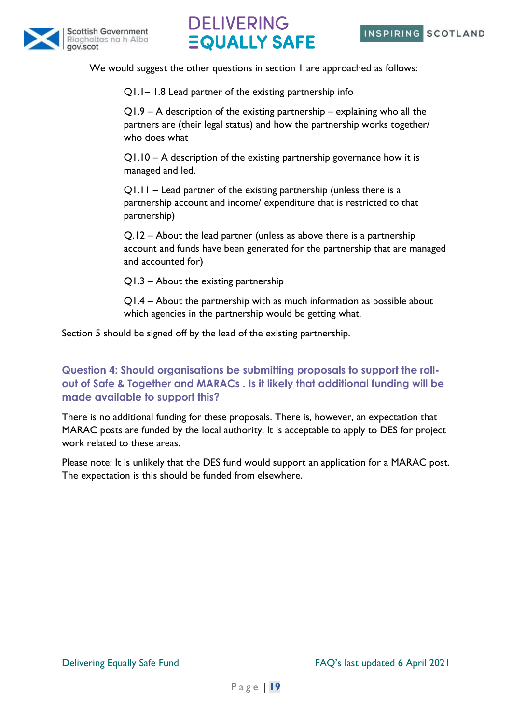



We would suggest the other questions in section 1 are approached as follows:

Q1.1– 1.8 Lead partner of the existing partnership info

Q1.9 – A description of the existing partnership – explaining who all the partners are (their legal status) and how the partnership works together/ who does what

Q1.10 – A description of the existing partnership governance how it is managed and led.

Q1.11 – Lead partner of the existing partnership (unless there is a partnership account and income/ expenditure that is restricted to that partnership)

Q.12 – About the lead partner (unless as above there is a partnership account and funds have been generated for the partnership that are managed and accounted for)

Q1.3 – About the existing partnership

Q1.4 – About the partnership with as much information as possible about which agencies in the partnership would be getting what.

Section 5 should be signed off by the lead of the existing partnership.

**Question 4: Should organisations be submitting proposals to support the rollout of Safe & Together and MARACs . Is it likely that additional funding will be made available to support this?**

There is no additional funding for these proposals. There is, however, an expectation that MARAC posts are funded by the local authority. It is acceptable to apply to DES for project work related to these areas.

Please note: It is unlikely that the DES fund would support an application for a MARAC post. The expectation is this should be funded from elsewhere.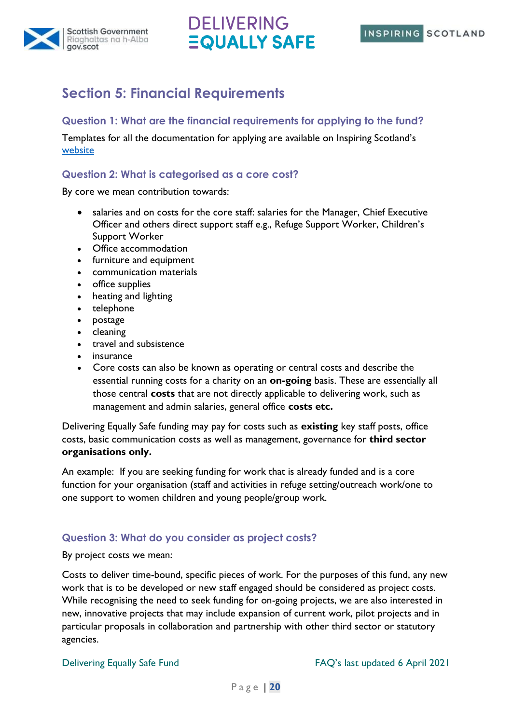



### <span id="page-19-0"></span>**Section 5: Financial Requirements**

#### **Question 1: What are the financial requirements for applying to the fund?**

Templates for all the documentation for applying are available on Inspiring Scotland's [website](https://www.inspiringscotland.org.uk/what-we-do/our-funds/delivering-equally-safe/applying-to-delivering-equally-safe/)

#### **Question 2: What is categorised as a core cost?**

By core we mean contribution towards:

- salaries and on costs for the core staff: salaries for the Manager, Chief Executive Officer and others direct support staff e.g., Refuge Support Worker, Children's Support Worker
- Office accommodation
- furniture and equipment
- communication materials
- office supplies
- heating and lighting
- telephone
- postage
- cleaning
- travel and subsistence
- **insurance**
- Core costs can also be known as operating or central costs and describe the essential running costs for a charity on an **on-going** basis. These are essentially all those central **costs** that are not directly applicable to delivering work, such as management and admin salaries, general office **costs etc.**

Delivering Equally Safe funding may pay for costs such as **existing** key staff posts, office costs, basic communication costs as well as management, governance for **third sector organisations only.** 

An example: If you are seeking funding for work that is already funded and is a core function for your organisation (staff and activities in refuge setting/outreach work/one to one support to women children and young people/group work.

#### **Question 3: What do you consider as project costs?**

#### By project costs we mean:

Costs to deliver time-bound, specific pieces of work. For the purposes of this fund, any new work that is to be developed or new staff engaged should be considered as project costs. While recognising the need to seek funding for on-going projects, we are also interested in new, innovative projects that may include expansion of current work, pilot projects and in particular proposals in collaboration and partnership with other third sector or statutory agencies.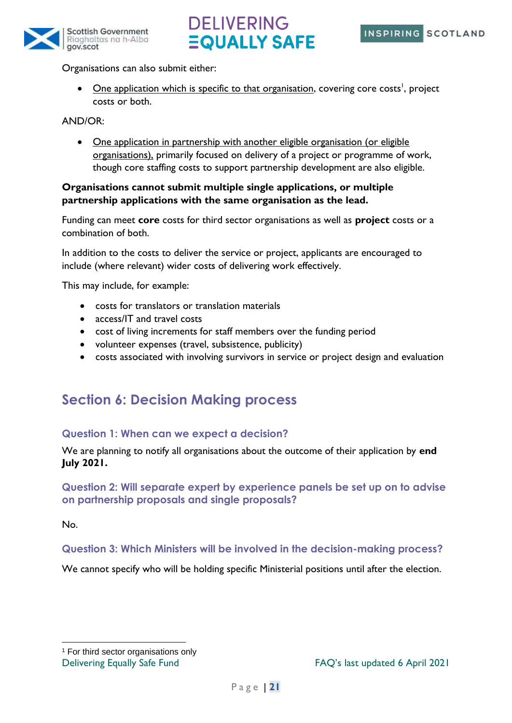



Organisations can also submit either:

• One application which is specific to that organisation, covering core costs<sup>1</sup>, project costs or both.

AND/OR:

• One application in partnership with another eligible organisation (or eligible organisations), primarily focused on delivery of a project or programme of work, though core staffing costs to support partnership development are also eligible.

#### **Organisations cannot submit multiple single applications, or multiple partnership applications with the same organisation as the lead.**

Funding can meet **core** costs for third sector organisations as well as **project** costs or a combination of both.

In addition to the costs to deliver the service or project, applicants are encouraged to include (where relevant) wider costs of delivering work effectively.

This may include, for example:

- costs for translators or translation materials
- access/IT and travel costs
- cost of living increments for staff members over the funding period
- volunteer expenses (travel, subsistence, publicity)
- costs associated with involving survivors in service or project design and evaluation

### <span id="page-20-0"></span>**Section 6: Decision Making process**

#### **Question 1: When can we expect a decision?**

We are planning to notify all organisations about the outcome of their application by **end July 2021.**

#### **Question 2: Will separate expert by experience panels be set up on to advise on partnership proposals and single proposals?**

No.

#### **Question 3: Which Ministers will be involved in the decision-making process?**

We cannot specify who will be holding specific Ministerial positions until after the election.

<sup>1</sup> For third sector organisations only